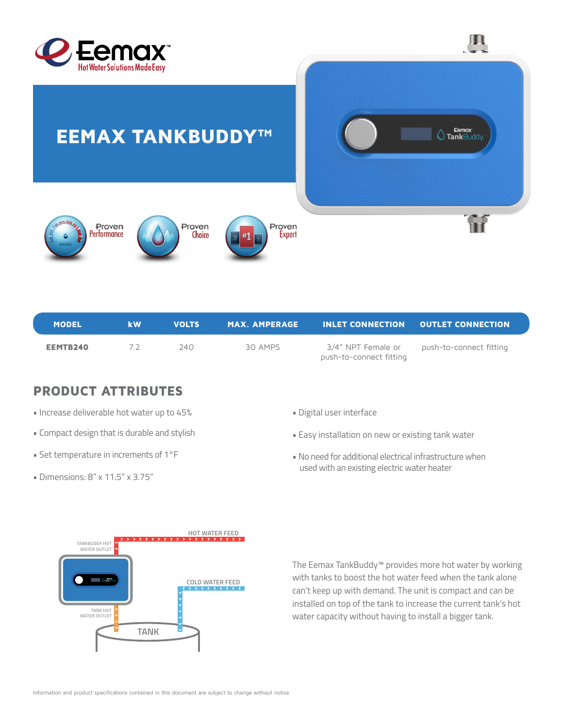



 $\mathbf{H}$ 



EEMAX TANKBUDDY™

| <b>MODEL</b> | <b>kW</b>  | <b>VOLTS</b> |         | $\,$ MAX. AMPERAGE $\,$ INLET CONNECTION $\,$ OUTLET CONNECTION $\,$ |                                            |
|--------------|------------|--------------|---------|----------------------------------------------------------------------|--------------------------------------------|
| EEMTB240     | $\sqrt{2}$ | 240 L        | 30 AMPS | push-to-connect fitting                                              | 3/4" NPT Female or push-to-connect fitting |

## PRODUCT ATTRIBUTES

- Increase deliverable hot water up to 45%
- Compact design that is durable and stylish
- Set temperature in increments of 1°F
- Dimensions: 8" x 11.5" x 3.75"
- Digital user interface
- Easy installation on new or existing tank water
- No need for additional electrical infrastructure when used with an existing electric water heater



The Eemax TankBuddy™ provides more hot water by working with tanks to boost the hot water feed when the tank alone can't keep up with demand. The unit is compact and can be installed on top of the tank to increase the current tank's hot water capacity without having to install a bigger tank.